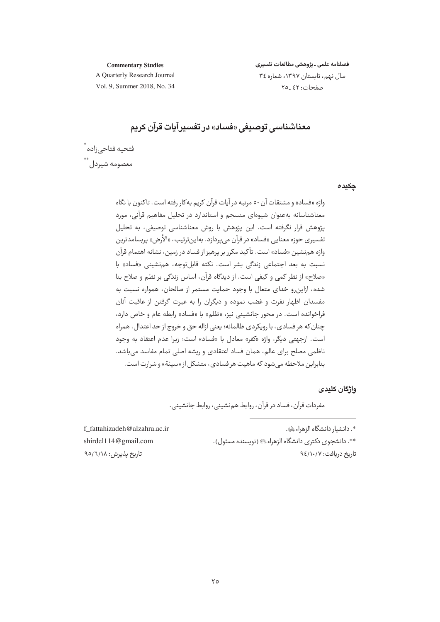#### **Commentary Studies**

فصلنامه علمى ـ يژوهشى مطالعات تفسيرى سال نهم، تابستان ١٣٩٧، شماره ٣٤ صفحات: ٤٢ -٢٥

A Quarterly Research Journal Vol. 9, Summer 2018, No. 34

# معناشناسی توصیفی «فساد» در تفسیر آیات قرآن کریم

فتحيه فتاحى;اده ْ ...<br>معصومه شیردل

#### چکیدہ

واژه «فساد» و مشتقات آن ٥٠ مرتبه در آيات قرآن كريم به كار رفته است. تاكنون با نگاه معناشناسانه بهعنوان شیوهای منسجم و استاندارد در تحلیل مفاهیم قرآنی، مورد پژوهش قرار نگرفته است. این پژوهش با روش معناشناسی توصیفی، به تحلیل تفسیری حوزه معنایے «فساد» در قرآن مے پردازد. بهاین ترتیب، «الأرض» پربسامدترین واژه هم نشین «فساد» است. تأکید مکرر بر پرهیز از فساد در زمین، نشانه اهتمام قرآن .<br>نسبت به بعد اجتماعي زند*گي* بشر است. نكته قابلتوجه، همنشيني «فساد» با «صلاح» از نظر كمي و كيفي است. از ديدگاه قرآن، اساس زندگي بر نظم و صلاح بنا شده، ازاین٫رو خدای متعال با وجود حمایت مستمر از صالحان، همواره نسبت به مفسدان اظهار نفرت و غضب نموده و دیگران را به عبرت گرفتن از عاقبت آنان فراخوانده است. در محور جانشینی نیز، «ظلم» با «فساد» رابطه عام و خاص دارد، چنان که هر فسادي، با رويکردي ظالمانه؛ يعني ازاله حق و خروج از حد اعتدال، همراه است. ازجهتي ديگر، واژه «كفر» معادل با «فساد» است؛ زيرا عدم اعتقاد به وجود ناظمی مصلح برای عالم، همان فساد اعتقادی و ریشه اصلی تمام مفاسد می باشد. بنابراین ملاحظه می شود که ماهیت هر فسادی، متشکل از «سیئة» و شرارت است.

#### واژگان کلیدی

مفردات قرآن، فساد در قرآن، روابط همنشینی، روابط جانشینی.

\*. دانشيار دانشگاه الزهراء ﷺ. \*\*. دانشجوي دکتري دانشگاه الزهراء ﷺ (نويسنده مسئول). تاریخ دریافت: ۹٤/۱۰/۷

f fattahizadeh@alzahra.ac.ir shirdel114@gmail.com تاريخ يذيرش: ٩٥/٦/١٨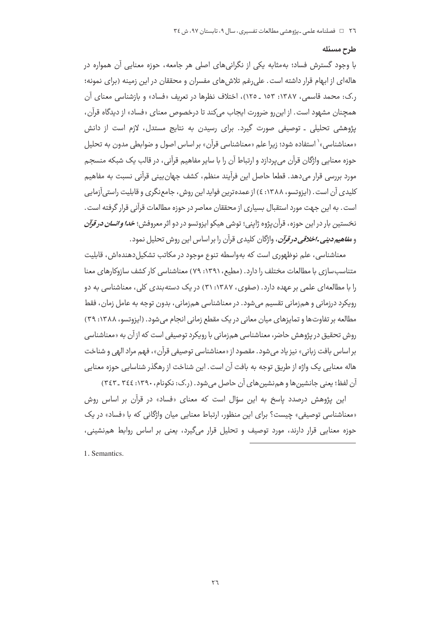### طرح مسئله

با وجود گسترش فساد؛ بهمثابه یکی از نگرانی های اصلی هر جامعه، حوزه معنایی آن همواره در هاله|ی از ابهام قرار داشته است. علی رغم تلاش های مفسران و محققان در این زمینه (برای نمونه؛ ر.ک: محمد قاسمی، ۱۳۸۷: ۱۵۳ ـ ۱۲۵)، اختلاف نظرها در تعریف «فساد» و بازشناسی معنای آن همچنان مشهود است. از این رو ضرورت ایجاب میکند تا درخصوص معنای «فساد» از دیدگاه قرآن، پژوهشی تحلیلی ـ توصیفی صورت گیرد. برای رسیدن به نتایج مستدل، لازم است از دانش «معناشناسی»` استفاده شود؛ زیرا علم «معناشناسی قرآن» بر اساس اصول و صوابطی مدون به تحلیل حوزه معنایی واژگان قرآن می پردازد و ارتباط آن را با سایر مفاهیم قرآنی، در قالب یک شبکه منسجم مورد بررسی قرار می دهد. قطعا حاصل این فرآیند منظم، کشف جهان بینی قرآنی نسبت به مفاهیم کلیدی آن است. (ایزوتسو، ۱۳۸۸: ٤) از عمده ترین فواید این روش، جامع نگری و قابلیت راستی آزمایی است. به این جهت مورد استقبال بسیاری از محققان معاصر در حوزه مطالعات قرآنی قرار گرفته است. نخستین بار در این حوزه، قرآن یژوه ژاپنی؛ توشی هیکو ایزوتسو در دو اثر معروفش؛ *خدا و انسان در قرآن* و *مفاهیم دینی ۔اخلاقی در قرآن،* واژگان کلیدی قرآن را بر اساس این روش تحلیل نمود.

معناشناسی، علم نوظهوری است که بهواسطه تنوع موجود در مکاتب تشکیل دهندهاش، قابلیت متناسب سازی با مطالعات مختلف را دارد. (مطیع، ۱۳۹۱: ۷۹) معناشناسی کار کشف سازوکارهای معنا را با مطالعه|ی علمی بر عهده دارد. (صفوی، ۱۳۸۷: ۳۱) در یک دسته بندی کلی، معناشناسی به دو روپکرد درزمانی و همزمانی تقسیم می شود. در معناشناسی همزمانی، بدون توجه به عامل زمان، فقط مطالعه بر تفاوت ها و تمایزهای میان معانی در یک مقطع زمانی انجام می شود. (ایزوتسو، ۱۳۸۸: ۳۹) روش تحقیق در پژوهش حاضر، معناشناسی همزمانی با رویکرد توصیفی است که از آن به «معناشناسی بر اساس بافت زباني» نيز ياد مي شود. مقصود از «معناشناسي توصيفي قرآن»، فهم مراد الهي و شناخت هاله معنایی یک واژه از طریق توجه به بافت آن است. این شناخت از رهگذر شناسایی حوزه معنایی آن لفظ؛ یعنی جانشین ها و هم نشین های آن حاصل می شود. (ر.ک: نکونام، ۱۳۹۰: ۳٤٤ ـ ۳٤٣)

این پژوهش درصدد پاسخ به این سؤال است که معنای «فساد» در قرآن بر اساس روش «معناشناسی توصیفی» چیست؟ برای این منظور، ارتباط معنایی میان واژگانی که با «فساد» در یک حوزه معنایی قرار دارند، مورد توصیف و تحلیل قرار میگیرد، یعنی بر اساس روابط هم نشینی،

1. Semantics.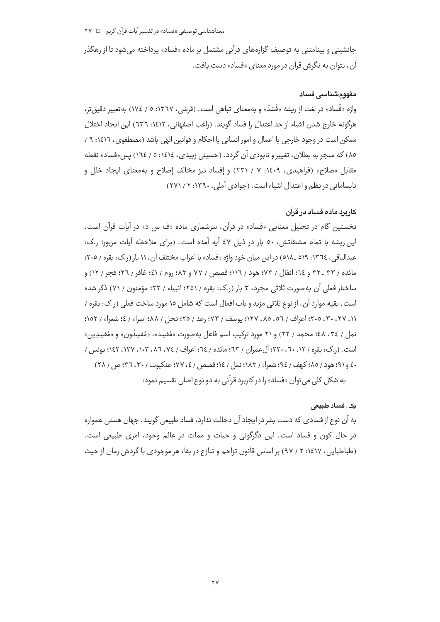جانشینی و بینامتنی به توصیف گزارههای قرآنی مشتمل بر ماده «فساد» پرداخته می شود تا از رهگذر آن، بتوان به نگرش قرآن در مورد معنای «فساد» دست یافت.

## مغھومشناسے فساد

واژه «فَساد» در لغت از ریشه «فَسَدَ» و بهمعنای تباهی است. (قرشی، ۱۳٦۷: ٥ / ١٧٤) بهتعبیر دقیق تر، هرگونه خارج شدن اشياء از حد اعتدال را فساد گويند. (راغب اصفهاني، ١٤١٢: ٦٣٦) اين ايجاد اختلال ممکن است در وجود خارجی یا اعمال و امور انسانی یا احکام و قوانین الهی باشد (مصطفوی، ١٤١٦: ٩ / ١ ۸۵) که منجر به بطلان، تغییر و نابودی آن گردد. (حسینی زبیدی، ۱٤١٤: ٥ / ١٦٤) پس«فساد» نقطه مقابل «صلاح» (فراهیدی، ۱٤٠٩: ۷ / ۲۳۱) و إفساد نیز مخالف إصلاح و به معنای ایجاد خلل و نابسامانی در نظم و اعتدال اشیاء است. (جوادی آملی، ۱۳۹۰: ۲ / ۲۷۱)

## کار درد ماده فساد در قرآن

نخستین گام در تحلیل معنایی «فساد» در قرآن، سرشماری ماده «ف س د» در آیات قرآن است. این ریشه با تمام مشتقاتش، ٥٠ بار در ذیل ٤٧ آیه آمده است. (برای ملاحظه آیات مزبور؛ ر.ک: عبدالباقي، ١٣٦٤: ٥١٩ ـ ٥١٨) در اين ميان خود واژه «فساد» با اعراب مختلف آن، ١١ بار (ر.ک: بقره / ٢٠٥؛ مائده / ٣٣ ـ ٣٢ و ٦٤؛ انفال / ٧٣؛ هود / ١١٦؛ قصص / ٧٧ و ٨٣؛ روم / ٤١؛ غافر / ٢٦؛ فحر / ١٢) و ساختار فعلی آن به صورت ثلاثی مجرد، ۳ بار (ر.ک: بقره / ۲۵۱؛ انبیاء / ۲۲؛ مؤمنون / ۷۱) ذکر شده است. بقيه موارد آن، از نوع ثلاثي مزيد و باب افعال است كه شامل ١٥ مورد ساخت فعلي (ر.ک: بقره / ١١، ٢٧، ٣٠، ٢٠٥؛ اعراف / ٥٦، ٨٥، ١٢٧؛ يوسف / ٧٣؛ رعد / ٢٥؛ نحل / ٨٨؛ اسراء / ٤؛ شعراء / ١٥٢؛ نمل / ٣٤، ٤٨؛ محمد / ٢٢) و ٢١ مورد تركيب اسم فاعل بهصورت «مُفسِد»، «مُفسِدُون» و «مُفسِدِين» است. (ر.ک: بقره / ۱۲، ۲۰، ۲۲۰؛ آلِ عمران / ٦٣؛ مائده / ٦٤؛ اعراف / ٧٤، ٨٦، ٢٠٣، ١٢٧، ١٤٢؛ يونس / ٤٠ و٩١؛ هود / ٨٥؛ كهف / ٩٤؛ شعراء / ١٨٣؛ نمل / ١٤؛ قصص / ٤، ٧٧؛ عنكبوت / ٣٠، ٣٦؛ ص / ٢٨) به شکل کلی می توان «فساد» را در کاربرد قرآنی به دو نوع اصلی تقسیم نمود:

### یک. فساد طبی*عی*

به آن نوع از فسادی که دست بشر در ایجاد آن دخالت ندارد، فساد طبیعی گویند. جهان هستی همواره در حال کون و فساد است. این دگرگونی و حیات و ممات در عالم وجود، امری طبیعی است. (طباطبایی، ۱۶۱۷: ۲ / ۹۷) بر اساس قانون تزاحم و تنازع در بقا، هر موجودی با گردش زمان از حیث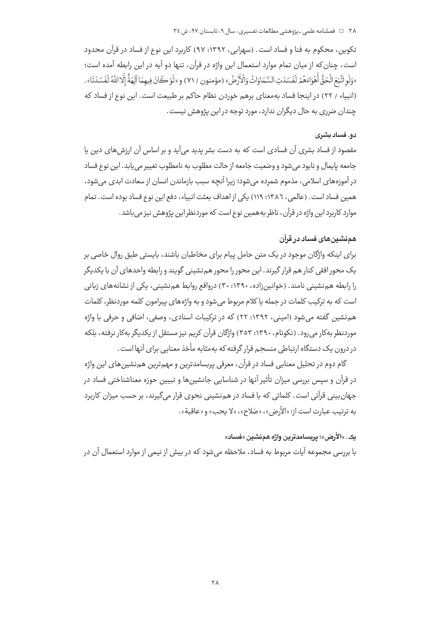تكوين، محكوم به فنا و فساد است. (سهرابي، ١٣٩٢: ٩٧) كاربرد اين نوع از فساد در قرآن محدود است، چنان كه از ميان تمام موارد استعمال اين واژه در قرآن، تنها دو آيه در اين رابطه آمده است؛ «وَلَو اتَّبَعَ الْحَقُّ أَهْوَاءَهُمْ لَفَسَدَتِ السَّمَاوَاتُ وَالْأَرْضُ» (مؤمنون / ٧١) و «لَوْ كَانَ فيهمَا آلِهَةٌ إِلَّا اللَّهُ لَفَسَدَتَا» . (انبیاء / ٢٢) در اینجا فساد بهمعنای برهم خوردن نظام حاکم بر طبیعت است. این نوع از فساد که چندان ضرری به حال دیگران ندارد، مورد توجه در این پژوهش نیست.

### ده. فساد بشری

مقصود از فساد بشری آن فسادی است که به دست بشر پدید میآید و بر اساس آن ارزش های دین یا جامعه پايمال و نابود مي شود و وضعيت جامعه از حالت مطلوب به نامطلوب تغيير مي پايد. اين نوع فساد در آموزههای اسلامی، مذموم شمرده می شود؛ زیرا آنچه سبب بازماندن انسان از سعادت ابدی می شود، همین فساد است. (عالمی، ١٣٨٦: ١١٩) یکی از اهداف بعثت انبیاء، دفع این نوع فساد بوده است. تمام موارد کاربرد این واژه در قرآن، ناظر به همین نوع است که موردنظر این پژوهش نیز می باشد.

## همنشینهای فساد در قرآن

برای اینکه واژگان موجود در یک متن حامل پیام برای مخاطبان باشند، بایستی طبق روال خاصی بر یک محور افقی کنار هم قرار گیرند. این محور را محور هم نشینی گویند و رابطه واحدهای آن با یکدیگر را رابطه هم نشینی نامند. (خوانین;اده، ۱۳۹۰: ۳۰) درواقع روابط هم نشینی، یکی از نشانههای زبانی است که به ترکیب کلمات در جمله یا کلام مربوط می شود و به واژههای پیرامون کلمه موردنظر، کلمات هم نشین گفته می شود (امینی، ۱۳۹۲: ۲۲) که در ترکیبات اسنادی، وصفی، اضافی و حرفی با واژه موردنظر بهکار می رود. (نکونام، ۱۳۹۰: ۳۵۳) واژگان قرآن کریم نیز مستقل از یکدیگر بهکار نرفته، بلکه در درون یک دستگاه ارتباطی منسجم قرار گرفته که بهمثابه مأخذ معنایی برای آنها است .

گام دوم در تحلیل معنایی فساد در قرآن، معرفی پربسامدترین و مهمترین همنشینهای این واژه در قرآن و سپس بررسی میزان تأثیر آنها در شناسایی جانشینها و تبیین حوزه معناشناختی فساد در جهان بینی قرآنی است. کلماتی که با فساد در هم نشینی نحوی قرار میگیرند، بر حسب میزان کاربرد به ترتيب عبارت است از: «الأرض»، «صَلاح»، «لا يحب» و «عاقبة».

## يک. «الأرض»؛ يربسامدترين واژه همنشين «فساد»

با بررسی مجموعه آیات مربوط به فساد، ملاحظه می شود که در بیش از نیمی از موارد استعمال آن در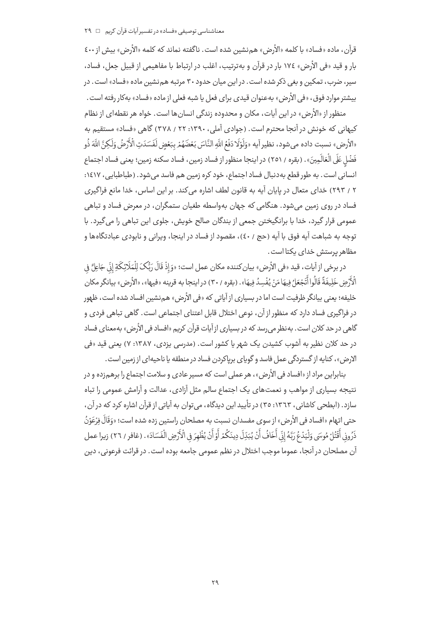قرآن، ماده «فساد» با كلمه «الأرض» هم نشين شده است. ناگفته نماند كه كلمه «الأرض» بيش از ٤٠٠ بار و قيد «في الأرض» ١٧٤ بار در قرآن و بهترتيب، اغلب در ارتباط با مفاهيمي از قبيل جعل، فساد، سیر، صرب، تمکین و بغی ذکر شده است. در این میان حدود ۳۰ مرتبه هم نشین ماده «فساد» است. در بيشتر موارد فوق، «في الأرض» بهعنوان قيدي براي فعل يا شبه فعلي از ماده «فساد» بهكار رفته است.

منظور از «الأرض» در این آیات، مکان و محدوده زندگی انسان ها است. خواه هر نقطهای از نظام کیهانی که خونش در آنجا محترم است. (جوادی آملی، ۱۳۹۰: ۲۲ / ۳۷۸) گاهی «فساد» مستقیم به «الأرض» نسبت داده مي شود، نظير آيه «وَلَوْلَا دَفْعُ اللَّهِ النَّاسَ بَعْضَهُمْ بِبَعْضٍ لَفَسَدَتِ الْأَرْضُ وَلَكِنَّ اللَّهَ ذُو فَضْلِ عَلَى الْعَالَمِينَ». (بقره / ٢٥١) در اينجا منظور از فساد زمين، فساد سكنه زمين؛ يعني فساد اجتماع انسانی است . به طور قطع به دنبال فساد اجتماع، خود کره زمین هم فاسد می شود . (طباطبایی ، ۱۶۱۷: ۲ / ۲۹۳) خدای متعال در بابان آبه به قانون لطف اشاره می کند. بر این اساس، خدا مانع فراگیری فساد در روی زمین می شود. هنگامی که جهان بهواسطه طغیان ستمگران، در معرض فساد و تباهی عمومی قرار گیرد، خدا با برانگیختن جمعی از بندگان صالح خویش، جلوی این تباهی را می گیرد. با توجه به شباهت آيه فوق با آيه (حج / ٤٠)، مقصود از فساد در اينجا، ويراني و نابودي عبادتگاهها و مظاهر پرستش خدای یکتا است.

در برخي از آيات، قيد «في الأرض» بيان كننده مكان عمل است؛ «وَإِذْ قَالَ رَبُّكَ لِلْمَلَائِكَةِ إِنِّ جَاعِلٌ في الْأَرْضِ خَلِيفَةً قَالُوا أَتَجْعَلُ فِيهَا مَنْ يُفْسِدُ فِيهَا». (بقره / ٣٠) دراينجا به قرينه «فيها»، «الأرض» بيانگر مكان .<br>خلیفه؛ یعنی بیانگر ظرفیت است اما در بسیاری از آیاتی که «فی الأرض» هم نشین افساد شده است، ظهور در فراگیری فساد دارد که منظور از آن، نوعی اختلال قابل اعتنای اجتماعی است. گاهی تباهی فردی و گاهی در حد کلان است. به نظر می <sub>(</sub>سد که در بسیاری از آیات قرآن کریم «افساد فی الأرض» به *مع*نای فساد در حد کلان نظیر به آشوب کشیدن یک شهر یا کشور است. (مدرسی یزدی، ۱۳۸۷: ۷) یعنی قید «فی الارض»، كنايه از گستردگي عمل فاسد و گوياي برياكردن فساد در منطقه يا ناحيهاي از زمين است .

بنابراین مراد از «افساد فی الأرض»، هر عملی است که مسیر عادی و سلامت اجتماع را برهم;ده و در نتیجه بسیاری از مواهب و نعمتهای یک اجتماع سالم مثل آزادی، عدالت و آرامش عمومی را تباه سازد. (ابطحی کاشانی، ۱۳٦۳: ۳٥) در تأیید این دیدگاه، می توان به آیاتی از قرآن اشاره کرد که در آن، حتى اتهام «افساد في الأرض» از سوى مفسدان نسبت به مصلحان راستين زده شده است؛ «وَقَالَ فِرْعَوْنُ ذَرُونِي أَقْتُلْ مُوسَى وَلْيَدْعُ رَبَّهُ إِنِّي أَخَافُ أَنْ يُبَدِّلَ دِينَكُمْ أَوْ أَنْ يُظْهِرَ في الْأَرْضِ الْفَسَادَ» . (غافر / ٢٦) زيرا عمل آن مصلحان در آنجا، عموما موجب اختلال در نظم عمومی جامعه بوده است. در قرائت فرعونی، دین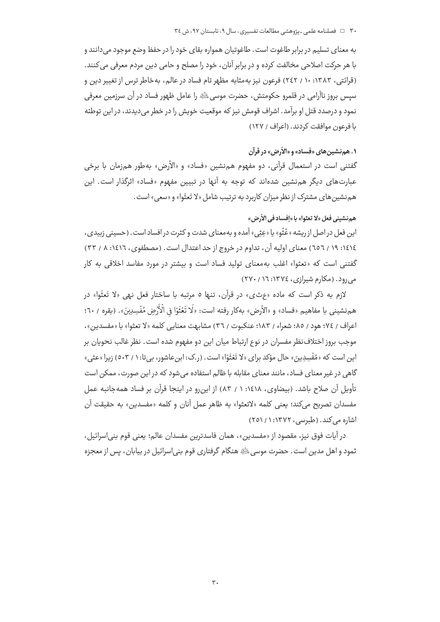به معنای تسلیم در برابر طاغوت است. طاغوتیان همواره بقای خود را در حفظ وضع موجود می دانند و با هر حرکت اصلاحی مخالفت کرده و در برابر آنان، خود را مصلح و حامی دین مردم معرفی می کنند. (قرائتی، ۱۳۸۳: ۱۰ / ۲٤۲) فرعون نیز بهمثابه مظهر تام فساد در عالم، بهخاطر ترس از تغییر دین و سیس بروز ناآرامی در قلمرو حکومتش، حضرت موسیﷺ را عامل ظهور فساد در آن سرزمین معرفی نمود و درصدد قتل او برآمد. اشراف قومش نیز که موقعیت خویش را در خطر می دیدند، در این توطئه با فرعون موافقت كردند. (اعراف / ١٢٧)

## ١. هم نشين هاي «فساد» و «الأرض» در قرآن

گفتنی است در استعمال قرآنی، دو مفهوم همنشین «فساد» و «الأرض» بهطور همزمان با برخی عبارتهای دیگر هم نشین شدهاند که توجه به آنها در تبیین مفهوم «فساد» اثرگذار است. این هم نشین های مشترک از نظر میزان کاربرد به ترتیب شامل «لا تَعثَوا» و «سعی» است.

## هم نشيني فعل «لا تعثوا» با «إفساد في الأرض»

اين فعل در اصل از ريشه «عُثُو» يا «عِثِي» آمده و به معناي شدت و كثرت در افساد است. (حسيني زبيدي، ١٤١٤: ١٩ / ٦٥٦) معناي اوليه آن، تداوم در خروج از حد اعتدال است. (مصطفوي، ١٤١٦: ٨ / ٣٣) گفتنی است که «تعثوا» اغلب به معنای تولید فساد است و بیشتر در مورد مفاسد اخلاقی به کار می دود. (مکارم شیرازی، ١٣٧٤: ١٦/ ٢٧٠)

لازم به ذكر است كه ماده «عرثى» در قرآن، تنها ٥ مرتبه با ساختار فعل نهى «لا تَعثَوا» در هم نشيني با مفاهيم «فساد» و «الأرض» بهكار رفته است: «لَا تَعْثَوْا في الْأَرْضِ مُفْسِدِينَ». (بقره / ٦٠؛ اعراف / ٧٤؛ هود / ٨٥؛ شعراء / ١٨٣؛ عنكبوت / ٣٦) مشابهت معنايي كلمه «لا تعثوا» با «مفسدين»، موجب بروز اختلاف نظر مفسران در نوع ارتباط میان این دو مفهوم شده است. نظر غالب نحویان بر این است که «مُفْسِدِینَ» حال مؤکد برای «لا تَعْثَوُا» است. (ر.ک: ابن عاشور، بی تا: ۱ / ٥٠٣) زیرا «عثی» گاهی در غیر معنای فساد، مانند معنای مقابله با ظالم استفاده می شود که در این صورت، ممکن است تأويل آن صلاح باشد. (بيضاوى، ١٤١٨: ١ / ٨٣) از اين,رو در اينجا قرآن بر فساد همهجانبه عمل مفسدان تصريح مي كند؛ يعني كلمه «لاتعثوا» به ظاهر عمل آنان و كلمه «مفسدين» به حقيقت آن اشاره می کند. (طبرسی، ۱۳۷۲: ۱/ ۲۵۱)

در آيات فوق نيز، مقصود از «مفسدين»، همان فاسدترين مفسدان عالم؛ يعني قوم بني|سرائيل، ثمود و اهل مدين است. حضرت موسى ﷺ هنگام گرفتاري قوم بني|سرائيل در بيابان، پس از معجزه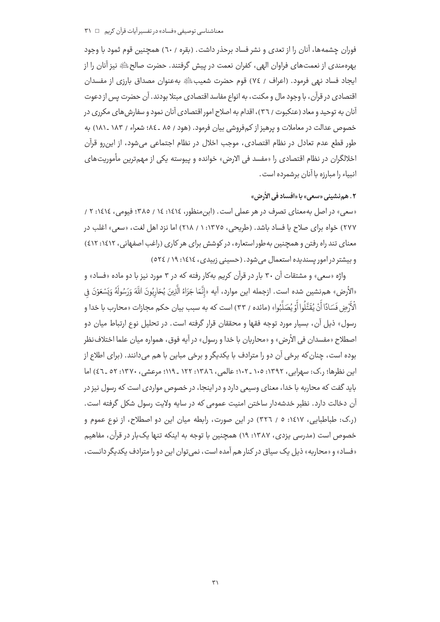فوران چشمهها، آنان را از تعدی و نشر فساد برحذر داشت. (بقره / ٦٠) همچنین قوم ثمود با وجود بهرهمندي از نعمتهاي فراوان الهي، كفران نعمت در پيش گرفتند. حضرت صالحﷺ نيز آنان را از ايجاد فساد نهى فرمود. (اعراف / ٧٤) قوم حضرت شعيبﷺ بهعنوان مصداق بارزى از مفسدان اقتصادی در قرآن، با وجود مال و مکنت، به انواع مفاسد اقتصادی مبتلا بودند. آن حضرت پس از دعوت آنان به توحید و معاد (عنکبوت / ٣٦)، اقدام به اصلاح امور اقتصادی آنان نمود و سفارش های مکرری در خصوص عدالت در معاملات و پرهیز از کمفروشی بیان فرمود. (هود / ٨٥ ـ ٨٤؛ شعراء / ١٨٣ ـ ١٨١) به طور قطع عدم تعادل در نظام اقتصادی، موجب اخلال در نظام اجتماعی می شود، از این رو قرآن اخلالگران در نظام اقتصادی را «مفسد فی الارض» خوانده و پیوسته یکی از مهمترین مأموریتهای انبياء را مبارزه با آنان برشمرده است.

## ٢. هم نشيني «سعي» يا «افساد في الأرض»

«سعی» در اصل به معنای تصرف در هر عملی است. (ابن منظور، ١٤١٤: ١٤ / ٣٨٥؛ فیومی، ١٤١٤: ٢ / ٢٧٧) خواه براي صلاح يا فساد باشد. (طريحي، ١٣٧٥: ١ / ٢١٨) اما نزد اهل لغت، «سعي» اغلب در معنای تند راه رفتن و همچنین به طور استعاره، در کوشش برای هر کاری (راغب اصفهانی، ۱۶۱۲: ٤١٢) و بیشتر در امور بسندیده استعمال می شود. (حسینی زبیدی، ١٤١٤: ١٩/ ١٢٤)

واژه «سعی» و مشتقات آن ۳۰ بار در قرآن کریم بهکار رفته که در ۳ مورد نیز با دو ماده «فساد» و «الأرض» هم:نشين شده است. ازجمله اين موارد، آيه «إنَّمَا جَزَاءُ الَّذِينَ يُحَارِبُونَ اللَّهَ وَرَسُولَهُ وَيَسْعَوْنَ في الْأَرْضِ فَسَادًا أَنْ يُقَتَّلُوا أَوْ يُصَلَّبُوا» (مائده / ٣٣) است كه به سبب بيان حكم مجازات «محارب با خدا و رسول» ذيل آن، بسيار مورد توجه فقها و محققان قرار گرفته است. در تحليل نوع ارتباط ميان دو اصطلاح «مفسدان في الأرض» و «محاربان با خدا و رسول» در آيه فوق، همواره ميان علما اختلاف نظر بوده است، چنان که برخی آن دو را مترادف با یکدیگر و برخی مباین با هم می دانند. (برای اطلاع از این نظرها؛ ر.ک: سهرابی، ۱۳۹۲: ۱۰۵ - ۱۰۲؛ عالمی، ۱۳۸۶: ۱۲۲ - ۱۱۹؛ مرعشی، ۱۳۷۰: ۵۲ ـ ٤٦) اما باید گفت که محاربه با خدا، معنای وسیعی دارد و در اینجا، در خصوص مواردی است که رسول نیز در آن دخالت دارد. نظیر خدشهدار ساختن امنیت عمومی که در سایه ولایت رسول شکل گرفته است. (ر.ک: طباطبایی، ۱٤١٧: ٥ / ٣٢٦) در این صورت، رابطه میان این دو اصطلاح، از نوع عموم و خصوص است (مدرسی یزدی، ۱۳۸۷: ۱۹) همچنین با توجه به اینکه تنها یک بار در قرآن، مفاهیم «فساد» و «محاربه» ذیل یک سیاق در کنار هم آمده است، نمی توان این دو را مترادف یکدیگر دانست،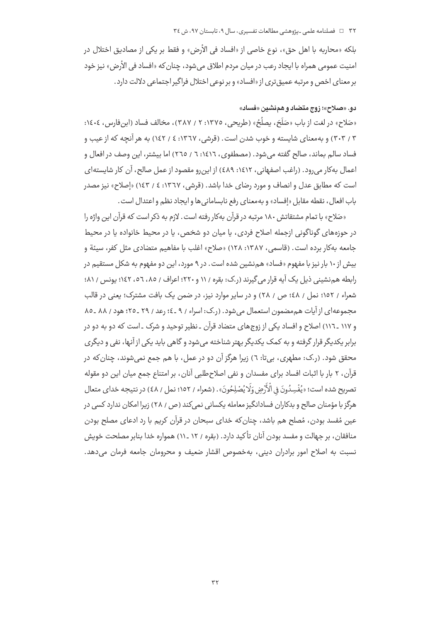بلكه «محاربه با اهل حق»، نوع خاصي از «افساد في الأرض» و فقط بر يكي از مصاديق اختلال در امنیت عمومی همراه با ایجاد رعب در میان مردم اطلاق میشود، چنان *ک*ه «افساد فی الأرض» نیز خود بر معنای اخص و مرتبه عمیق تری از «افساد» و بر نوعی اختلال فراگیر اجتماعی دلالت دارد.

## دو. «صلاح»؛ زوج متضاد و همنشین «فساد»

«صَلاح» در لغت از باب «صَلَحَ، يصلُحُ» (طريحي، ١٣٧٥: ٢ / ٣٨٧)، مخالف فساد (ابن فارس، ١٤٠٤: ۳ / ۳۰۳) و به معنای شایسته و خوب شدن است. (قرشی، ۱۳٦۷: ٤ / ۱٤۲) به هر آنچه که از عیب و فساد سالم بماند، صالح گفته می شود. (مصطفوی، ۱٤١٦: ٦ / ٢٦٥) اما بیشتر، این وصف در افعال و اعمال بهكار مي رود. (راغب اصفهاني، ١٤١٢: ٤٨٩) از اين رو مقصود از عمل صالح، آن كار شايستهاي است که مطابق عدل و انصاف و مورد رضای خدا باشد. (قرشی، ۱۳٦۷: ٤ / ١٤٣) «إصلاح» نيز مصدر باب افعال، نقطه مقابل «إفساد» و به معناي رفع نابساماني ها و ايجاد نظم و اعتدال است.

«صَلاح» با تمام مشتقاتش ۱۸۰ مرتبه در قرآن بهکار رفته است. لازم به ذکر است که قرآن این واژه را در حوزههای گوناگونی ازجمله اصلاح فردی، یا میان دو شخص، یا در محیط خانواده یا در محیط جامعه بهكار برده است. (قاسمي، ١٣٨٧: ١٢٨) «صلاح» اغلب با مفاهيم متضادي مثل كفر، سيئة و بیش از ۱۰ بار نیز با مفهوم «فساد» همنشین شده است. در ۹ مورد، این دو مفهوم به شکل مستقیم در رابطه هم نشینی ذیل یک آیه قرار می گیرند (ر.ک: بقره / ۱۱ و ۲۲۰؛ اعراف / ۸۵، ۵٦، ۱٤۲؛ یونس / ۸۱؛ شعراء / ١٥٢؛ نمل / ٤٨؛ ص / ٢٨) و در ساير موارد نيز، در ضمن يک بافت مشترک؛ يعني در قالب مجموعه ای از آیات هم مضمون استعمال می شود. (ر.ک: اسراء / ۹ ـ٤؛ رعد / ۲۹ ـ ۲۵؛ هود / ۸۸ ـ ۸۵ و ۱۱۷ ـ ۱۱٦) اصلاح و افساد یکی از زوجهای متضاد قرآن ـ نظیر توحید و شرک ـ است که دو به دو در برابر یکدیگر قرار گرفته و به کمک یکدیگر بهتر شناخته میشود و گاهی باید یکی از آنها، نفی و دیگری محقق شود. (ر.ک: مطهری، بی تا: ٦) زیرا هرگز آن دو در عمل، با هم جمع نمی شوند، چنان که در قرآن، ٢ بار با اثبات افساد براي مفسدان و نفي اصلاح طلبي آنان، بر امتناع جمع ميان اين دو مقوله تصريح شده است؛ «يُفْسِدُونَ في الْأَرْضِ وَلَا يُصْلِحُونَ». (شعراء / ١٥٢؛ نمل / ٤٨) در نتيجه خداي متعال هرگز با مؤمنان صالح و بدکاران فسادانگیز معامله یکسانی نمی کند (ص ، ۲۸) زیرا امکان ندارد کسی در عین مُفسد بودن، مُصلح هم باشد، چنان که خدای سبحان در قرآن کریم با رد ادعای مصلح بودن منافقان، بر جهالت و مفسد بودن آنان تأكيد دارد. (بقره / ١٢ ـ ١١) همواره خدا بنابر مصلحت خويش نسبت به اصلاح امور برادران دینی، بهخصوص اقشار ضعیف و محرومان جامعه فرمان می دهد.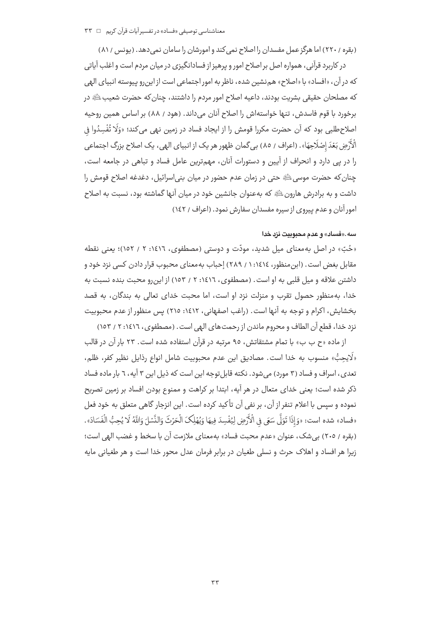(بقره / ٢٢٠) اما هرگز عمل مفسدان را اصلاح نمی کند و امورشان را سامان نمی دهد. (پونس / ٨١) در کاربرد قرآنی، همواره اصل بر اصلاح امور و پرهیز از فسادانگیزی در میان مردم است و اغلب آیاتی که در آن، «افساد» با «اصلاح» هم:نشین شده، ناظر به امور اجتماعی است از اینرو پیوسته انبیای الهی كه مصلحان حقيقي بشريت بودند، داعيه اصلاح امور مردم را داشتند، چنان كه حضرت شعيبﷺ در برخورد با قوم فاسدش، تنها خواستهاش را اصلاح آنان می داند. (هود / ۸۸) بر اساس همین روحیه اصلاح طلبي بود كه آن حضرت مكررا قومش را از ايجاد فساد در زمين نهي مي كند؛ «وَلَا تُفْسِدُوا فِي الْأَرْضِ بَعْدَ إِصْلَاحِهَا». (اعراف / ٨٥) بي گمان ظهور هر يک از انبياي الهي، يک اصلاح بزرگ اجتماعي را در پی دارد و انحراف از آیین و دستورات آنان، مهمترین عامل فساد و تباهی در جامعه است، چنان که حضرت موسی ﷺ حتی در زمان عدم حضور در میان بنی|سرائیل، دغدغه اصلاح قومش را داشت و به برادرش هارونﷺ که بهعنوان جانشین خود در میان آنها گماشته بود، نسبت به اصلاح امور آنان و عدم پیروی از سیره مفسدان سفارش نمود. (اعراف / ١٤٢)

#### سه.«فساد» و عدم محبوبيت نزد خدا

«حُبّ» در اصل به معنای میل شدید، مودّت و دوستی (مصطفوی، ١٤١٦: ٢ / ١٥٢)؛ یعنی نقطه مقابل بغض است. (ابن منظور، ١٤١٤: ١ / ٢٨٩) إحباب به معناي محبوب قرار دادن كسي نزد خود و داشتن علاقه و میل قلبی به او است. (مصطفوی، ۱۶۱۲: ۲ / ۱۵۳) از این رو محبت بنده نسبت به خدا، بهمنظور حصول تقرب و منزلت نزد او است، اما محبت خدای تعالی به بندگان، به قصد بخشايش، اكرام و توجه به آنها است. (راغب اصفهانی، ١٤١٢: ٢١٥) پس منظور از عدم محبوبيت نزد خدا، قطع آن الطاف و محروم ماندن از رحمت های الهی است . (مصطفوی، ١٤١٦: ٢ / ١٥٣)

از ماده «ح ب ب» با تمام مشتقاتش، ٩٥ مرتبه در قرآن استفاده شده است. ٢٣ بار آن در قالب «لَايحِبُّ» منسوب به خدا است. مصاديق اين عدم محبوبيت شامل انواع رذايل نظير كفر، ظلم، تعدی، اسراف و فساد (۳ مورد) می شود. نکته قابل توجه این است که ذیل این ۳ آیه، ٦ بار ماده فساد ذکر شده است؛ یعنی خدای متعال در هر آیه، ابتدا بر کراهت و ممنوع بودن افساد بر زمین تصریح نموده و سیس با اعلام تنفر از آن، بر نفی آن تأکید کرده است. این انزجار گاهی متعلق به خود فعل «فساد» شده است: «وَإِذَا تَوَلَّى سَعَى فِي الْأَرْضِ لِيُفْسِدَ فِيهَا وَيُهْلِكَ الْحَرْثَ وَالنَّسْلَ وَاللَّهُ لَا يُحِبُّ الْفَسَادَ». (بقره / ٢٠٥) بي شک، عنوان «عدم محبت فساد» به معناي ملازمت آن با سخط و غضب الهي است؛ زيرا هر افساد و اهلاک حرث و نسلي طغيان در برابر فرمان عدل محور خدا است و هر طغياني مايه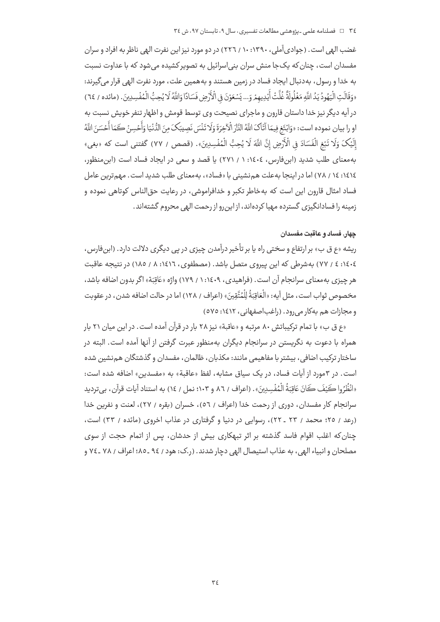غضب الهی است. (جوادیآملی، ۱۳۹۰: ۱۰ / ۲۲٦) در دو مورد نیز این نفرت الهی ناظر به افراد و سران مفسدان است، چنان که یک جا منش سران بنی|سرائیل به تصویر کشیده می شود که با عداوت نسبت به خدا و رسول، به دنبال ایجاد فساد در زمین هستند و به همین علت، مورد نفرت الهی قرار میگیرند: «وَقَالَتِ الْيَهُودُ يَدُ اللَّهِ مَغْلُولَةً غُلَّتْ أَيْدِيهِمْ وَ... يَسْعَوْنَ فِى الْأَرْضِ فَسَادًا وَاللَّهُ لَا يُحِبُّ الْمُفْسِدِينَ. (مائده / ٦٤) در آیه دیگر نیز خدا داستان قارون و ماجرای نصیحت وی توسط قومش و اظهار تنفر خویش نسبت به او را بيان نموده است: «وَابْتَغِ فِيمَا آتَاكَ اللَّهُ النَّارَ الْآخِرَةَ وَلَا تَنْسَ نَصِيبَكَ مِنَ الدُّنْيَا وَأَحْسِنْ كَمَا أَحْسَنَ اللَّهُ إِلَيْكَ وَلَا تَبْغِ الْفَسَادَ فِي الْأَرْضِ إِنَّ اللَّهَ لَا يُحِبُّ الْمُفْسِدِينَ». (قصص / ٧٧) گفتني است كه «بغي» بهمعنای طلب شدید (این فارس، ١٤٠٤: ١ / ٢٧١) یا قصد و سعی در ایجاد فساد است (این منظور، ۱٤١٤: ١٤ / ٧٨) اما در اینجا بهعلت همiنشینی با «فساد»، بهمعنای طلب شدید است. مهمiترین عامل فساد امثال قارون اين است كه بهخاطر تكبر و خدافراموشي، در رعايت حق|لناس كوتاهي نموده و زمینه را فسادانگیزی گسترده مهیا کردهاند، از این,رو از رحمت الهی محروم گشتهاند.

## چهار. فساد و عاقبت مفسدان

ریشه «ع ق ب» بر ارتفاع و سختی راه یا بر تأخیر درآمدن چیزی در پی دیگری دلالت دارد. (ابنفارس، ٤٠٤٤٤ / ٧٧) بهشرطي كه اين پيروي متصل باشد. (مصطفوي، ١٤١٦: ٨ / ١٨٥) در نتيجه عاقبت هر چیزی بهمعنای سرانجام آن است. (فراهیدی، ۱۶۰۹/: ۱ / ۱۷۹) واژه «عَاقبَة» اگر بدون اضافه باشد، مخصوص ثواب است، مثل آيه: «الْعَاقِبَةُ لِلْمُتَّقِينَ» (اعراف / ١٢٨) اما در حالت اصافه شدن، در عقوبت و مجازات هم بهکار می رود. (راغباصفهانی، ۱۶۱۲: ۵۷۵)

«ع ق ب» با تمام تركيباتش ۸۰ مرتبه و «عاقبة» نيز ۲۸ بار در قرآن آمده است. در اين ميان ۲۱ بار همراه با دعوت به نگریستن در سرانجام دیگران بهمنظور عبرت گرفتن از آنها آمده است. البته در ساختار ترکیب اضافی، بیشتر با مفاهیمی مانند: مکذبان، ظالمان، مفسدان و گذشتگان هم نشین شده است. در ۳مورد از آیات فساد، در یک سیاق مشابه، لفظ «عاقبة» به «مفسدین» اضافه شده است: «انْظُرُوا كَيْفَ كَانَ عَاقِبَةُ الْمُفْسِدِينَ» . (اعراف / ٨٦ و ١٠٣؛ نمل / ١٤) به استناد آيات قرآن، بي ترديد سرانجام کار مفسدان، دوری از رحمت خدا (اعراف / ٥٦)، خسران (بقره / ٢٧)، لعنت و نفرین خدا (رعد / ٢٥؛ محمد / ٢٣ ـ ٢٢)، رسوايي در دنيا و گرفتاري در عذاب اخروي (مائده / ٣٣) است، چنان که اغلب اقوام فاسد گذشته بر اثر تبهکاری بیش از حدشان، پس از اتمام حجت از سوی مصلحان و انبياء الهي، به عذاب استيصال الهي دچار شدند. (ر.ک: هود / ٩٤ ـ ٨٥؛ اعراف / ٧٨ ـ ٧٤ م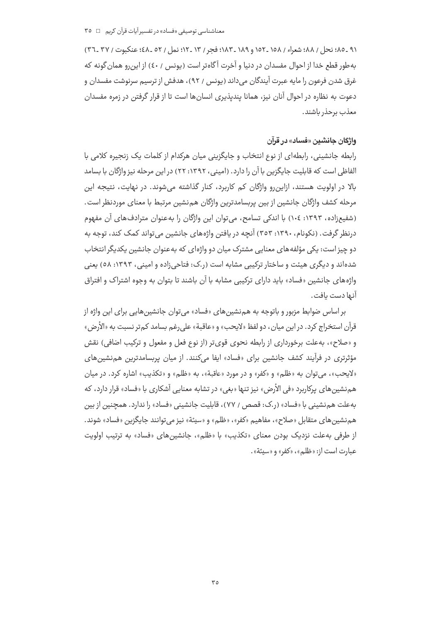٩١ ـ ٨٥؛ نحل / ٨٨؛ شعراء / ١٥٨ ـ ١٥٢ و ١٨٩ ـ ١٨٣؛ فجر / ١٣ ـ ١٢؛ نمل / ٥٢ ـ ٤٨؛ عنكبوت / ٣٧ ـ ٣٦) به طور قطع خدا از احوال مفسدان در دنیا و آخرت آگاهتر است (پونس / ٤٠) از این رو همان گونه که غرق شدن فرعون را مايه عبرت آيندگان مي داند (يونس / ٩٢)، هدفش از ترسيم سرنوشت مفسدان و دعوت به نظاره در احوال آنان نیز، همانا پندیذیری انسانها است تا از قرار گرفتن در زمره مفسدان معذب برحذر باشند.

## واژگان جانشین «فساد» در قرآن

رابطه جانشینی، رابطهای از نوع انتخاب و جایگزینی میان هرکدام از کلمات یک زنجیره کلامی با الفاظی است که قابلیت جایگزین با آن را دارد. (امینی، ۱۳۹۲: ۲۲) در این مرحله نیز واژگان با بسامد بالا در اولویت هستند، ازاین رو واژگان کم کاربرد، کنار گذاشته می شوند. در نهایت، نتیجه این مرحله كشف واژگان جانشين از بين پربسامدترين واژگان هم نشين مرتبط با معناي موردنظر است. (شفیعزاده، ۱۳۹۳: ۱۰٤) با اندکی تسامح، میتوان این واژگان را بهعنوان مترادفهای آن مفهوم درنظر گرفت. (نکونام، ۱۳۹۰: ۳٥۳) آنچه در یافتن واژههای جانشین می تواند کمک کند، توجه به دو چيز است: يكي مؤلفه هاي معنايي مشترک ميان دو واژهاي که به عنوان جانشين يکديگر انتخاب شدهاند و دیگری هیئت و ساختار ترکیبی مشایه است (ر.ک: فتاحی;اده و امینی، ۱۳۹۳: ۵۸) بعنی واژههای جانشین «فساد» باید دارای ترکیبی مشابه با آن باشند تا بتوان به وجوه اشتراک و افتراق آنـها دست يافت .

بر اساس ضوابط مزبور و باتوجه به همزنشین های «فساد» می توان جانشین هایی برای این واژه از قرآن استخراج كرد. در اين ميان، دو لفظ «لايحب» و «عاقبة» على رغم بسامد كم تر نسبت به «الأرض» و «صلاح»، به علت برخورداري از رابطه نحوي قوىتر (از نوع فعل و مفعول و تركيب اضافي) نقش مؤثرتری در فرآیند کشف جانشین برای «فساد» ایفا میکنند. از میان پربسامدترین همنشینهای «لايحب»، مي توان به «ظلم» و «كفر» و در مورد «عاقبة»، به «ظلم» و «تكذيب» اشاره كرد. در ميان هم نشین های پرکاربرد «فی الأرض» نیز تنها «بغی» در تشابه معنایی آشکاری با «فساد» قرار دارد، که بهعلت هم نشینی با «فساد» (ر.ک: قصص / ۷۷)، قابلیت جانشینی «فساد» را ندارد. همچنین از بین هم نشین های متقابل «صلاح»، مفاهیم «کفر»، «ظلم» و «سیئة» نیز می توانند جایگزین «فساد» شوند. از طرفی به علت نزدیک بودن معنای «تکذیب» با «ظلم»، جانشین های «فساد» به ترتیب اولویت عبارت است از: «ظلم»، «كفر» و «سيئة».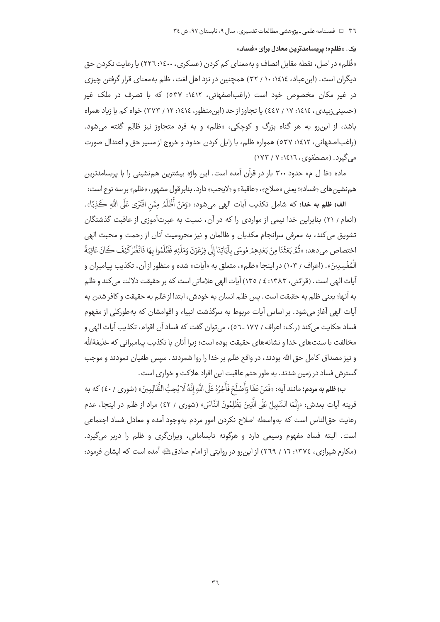### یک. «ظلم»؛ پریسامدترین معادل برای «فساد»

«ظُلم» در اصل، نقطه مقابل انصاف و به معنای کم کردن (عسکری، ۱٤٠٠: ٢٢٦) یا رعایت نکردن حق دیگران است. (ابنعباد، ١٤١٤: ١٠ / ٣٢) همچنین در نزد اهل لغت، ظلم بهمعنای قرار گرفتن چیزی در غیر مکان مخصوص خود است (راغباصفهانی، ۱٤۱۲: ۵۳۷) که با تصرف در ملک غیر (حسینی;زبیدی، ١٤١٤: ١٧ / ٤٤٧) یا تجاوز از حد (ابن منظور، ١٤١٤: ١٢ / ٣٧٣) خواه کم یا زیاد همراه باشد، از این رو به هر گناه بزرگ و کوچکی، «ظلم» و به فرد متجاوز نیز ظَالِم گفته می شود. (راغباصفهانی، ۱۶۱۲: ۵۳۷) همواره ظلم، با زایل کردن حدود و خروج از مسیر حق و اعتدال صورت می گیرد. (مصطفوی، ۱۶۱۶: ۷ / ۱۷۳)

ماده «ظ ل م» حدود ۳۰۰ بار در قرآن آمده است. این واژه بیشترین همنشینی را با پربسامدترین هم نشین های «فساد»؛ یعنی «صلاح»، «عاقبة» و «لایحب» دارد. بنابر قول مشهور، «ظلم» بر سه نوع است:

ا**لف) ظلم به خدا؛** كه شامل تكذيب آيات الهي ميشود: «وَمَنْ أَظْلَمُ مِمَّن افْتَرَى عَلَى اللَّهِ كَذِبًا». (انعام / ٢١) بنابراین خدا نیمی از مواردی را که در آن، نسبت به عبرتآموزی از عاقبت گذشتگان تشويق مي كند، به معرفي سرانجام مكذبان و ظالمان و نيز محروميت آنان از رحمت و محبت الهي اختصاص ميدهد: «ثُمَّ بَعَثْنَا مِنْ بَعْدِهِمْ مُوسَى بِآيَاتِنَا إِلَى فِرْعَوْنَ وَمَلَئِهِ فَظَلَمُوا بِهَا فَانْظُرْكَيْفَ كَانَ عَاقِبَةُ الْمُفْسِدِينَ». (اعراف / ١٠٣) در اينجا «ظلم»، متعلق به «آيات» شده و منظور از آن، تكذيب پيامبران و آیات البھی است . (قرائتی ، ۱۳۸۳: ٤ / ۱۳٥) آیات البھی علاماتی است که بر حقیقت دلالت می کند و ظلم به آنها؛ يعني ظلم به حقيقت است . يس ظلم انسان به خودش ، ابتدا از ظلم به حقيقت و كافر شدن به ۔<br>آیات الھی آغاز می شود. بر اساس آیات مربوط به سرگذشت انبیاء و اقوامشان که بهطورکلی از مفهوم فساد حکایت می کند (ر.ک: اعراف / ١٧٧ ـ٥٦)، می توان گفت که فساد آن اقوام، تکذیب آیات الهی و مخالفت با سنتهای خدا و نشانههای حقیقت بوده است؛ زیرا آنان با تکذیب پیامبرانی که خلیفةالله و نیز مصداق کامل حق الله بودند، در واقع ظلم بر خدا را روا شمردند. سپس طغیان نمودند و موجب گسترش فساد در زمین شدند. به طور حتم عاقبت این افراد هلاکت و خواری است.

ب) **ظلم به مردم**؛ مانند آيه: «فَمَنْ عَفَا وَأَصْلَحَ فَأَجَرُهُ عَلَى اللَّهِ إِنَّهُ لَا يُحِبُّ الظَّالِمِينَ» (شورى / ٤٠) كه به قرينه آيات بعدش: «إنَّمَا السَّبِيلُ عَلَى الَّذِينَ يَظْلِمُونَ النَّاسَ» (شورى / ٤٢) مراد از ظلم در اينجا، عدم رعايت حق|لناس است كه بهواسطه اصلاح نكردن امور مردم بهوجود آمده و معادل فساد اجتماعي است. البته فساد مفهوم وسیعی دارد و هرگونه نابسامانی، ویرانگری و ظلم را دربر میگیرد. (مکارم شیرازی، ١٣٧٤: ١٦ / ٢٦٩) از این رو در روایتی از امام صادق علیه آمده است که ایشان فرمود: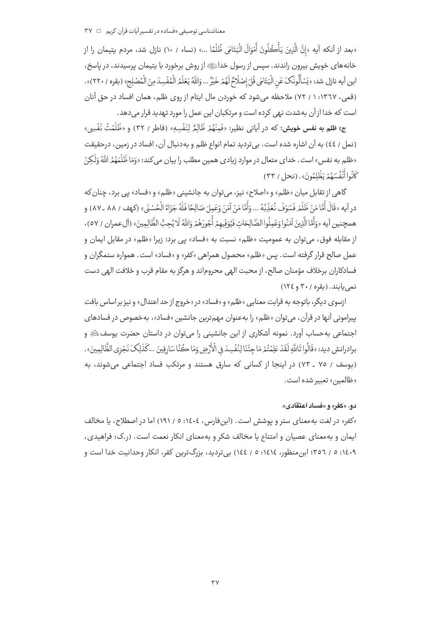معناشناسی توصیفی «فساد» در تفسیر آیات قرآن کریم □ ۳۷

«بعد از آنكه آيه «إنَّ الَّذِينَ يَأْكُلُونَ أَمْوَالَ الْيَتَامَى ظُلْمًا ...» (نساء / ١٠) نازل شد، مردم يتيمان را از خانههای خویش بیرون راندند. سپس از رسول خداﷺ از روش برخورد با یتیمان پرسیدند، در پاسخ، اين آيه نازل شد: «يَسْأَلُونَكَ عَنِ الْيَتَامَى قُلْ إِصْلَاحٌ لَهُمْ خَيْرٌ ... وَاللَّهُ يَعْلَمُ الْمُفْسِدَ مِنَ الْمُصْلِحِ» (بقوه / ٢٢٠)». (قمی، ۱۳٦۷: ۱ / ۷۲) ملاحظه میشود که خوردن مال ایتام از روی ظلم، همان افساد در حق آنان است که خدا از آن بهشدت نبهی کرده است و مرتکبان این عمل را مورد تهدید قرار می دهد.

ج) **ظلم به نفس خويش؛** كه در آياتي نظير: «فَمِنْهُمْ ظَالِمٌ لِنَفْسِهِ» (فاطر / ٣٢) و «ظَلَمْتُ نَفْسِي» (نمل / ٤٤) به آن اشاره شده است. بي ترديد تمام انواع ظلم و بهدنبال آن، افساد در زمين، درحقيقت «ظلم به نفس» است. خدای متعال در موارد زیادی همین مطلب را بیان می کند: «وَمَا ظَلَمَهُمُراللَّهُ وَلَکِنْ كَأَنُواأَنْفُسَهُمْ بَظُلْمُونَ». (نجا / ٣٣)

گاهی از تقابل میان «ظلم» و «اصلاح» نیز، می توان به جانشینی «ظلم» و «فساد» بی برد، چنان که در آيه «قَالَ أَمَّا مَنْ ظَلَمَ فَسَوْفَ نُعَذِّبُهُ ... وَأَمَّا مَنْ آمَنَ وَعَملَ صَالِحًا فَلَهُ جَزَاءً الْحُسْنَى» (كهف / ٨٨ ـ ٨٧) و همچنين آيه «وَأَمَّا الَّذِينَ آمَنُوا وَعَمِلُوا الصَّالِحَاتِ فَيُوَفِّيهِمْ أُجُورَهُمْ وَاللَّهُ لَا يُحِبُّ الظَّالِمِينَ» (آلءمران / ٥٧)، از مقابله فوق، می توان به عمومیت «ظلم» نسبت به «فساد» یی برد؛ زیرا «ظلم» در مقابل ایمان و عمل صالح قرار گرفته است. پس «ظلم» محصول همراهی «کفر» و «فساد» است. همواره ستمگران و فسادكاران برخلاف مؤمنان صالح، از محبت الهي محروماند و هرگز به مقام قرب و خلافت الهي دست نمی یابند. (بقره / ۳۰ و ١٢٤)

ازسوی دیگر، باتوجه به قرابت معنایی «ظلم» و «فساد» در «خروج از حد اعتدال» و نیز بر اساس بافت پیرامونی آنها در قرآن، میتوان «ظلم» را بهعنوان مهم¤رین جانشین «فساد»، بهخصوص در فسادهای اجتماعی بهحساب آورد. نمونه آشکاری از این جانشینی را می¤وان در داستان حضرت یوسفﷺ و برادرانش ديد: «قَالُوا تَاللَّهِ لَقَدْ عَلِمْتُمْ مَاجِئْنَا لِنُفْسِدَ في الْأَرْضِ وَمَا كُنَّا سَارِقِينَ ...كَذَلِكَ نَجْزي الظَّالِمِينَ» . (یوسف / ٧٥ ـ ٧٣) در اینجا از کسانی که سارق هستند و مرتکب فساد اجتماعی می شوند، به «ظالمین» تعبیر شده است.

#### دو. «کفر» و «فساد اعتقادی»

«کفر» در لغت به معنای ستر و پوشش است. (ابنفارس، ١٤٠٤: ٥ / ١٩١) اما در اصطلاح، يا مخالف ایمان و به معنای عصیان و امتناع یا مخالف شکر و به معنای انکار نعمت است. (,.ک: فراهیدی، ١٤٠٩: ٥ / ٣٥٦؛ ابن منظور، ١٤١٤: ٥ / ١٤٤) بي ترديد، بزرگ ترين كفر، انكار وحدانيت خدا است و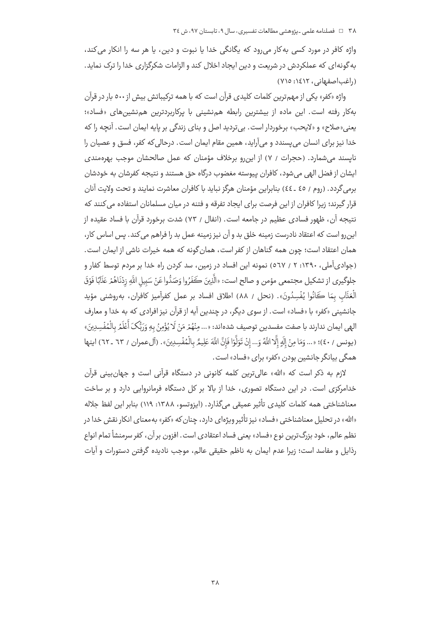واژه کافر در مورد کسی به کار میرود که یگانگی خدا یا نبوت و دین، یا هر سه را انکار می کند، به گونهای که عملکردش در شریعت و دین ایجاد اخلال کند و الزامات شکرگزاری خدا را ترک نماید. (راغب اصفهانی، ۱٤١٢: ٧١٥)

واژه «کفر» یکی از مهم ترین کلمات کلیدی قرآن است که با همه ترکیباتش بیش از ٥٠٠ بار در قرآن بهکار رفته است. این ماده از بیشترین رابطه همنشینی با یرکاربردترین همنشینهای «فساد»؛ یعنی«صلاح» و «لایحب» برخوردار است. بیتردید اصل و بنای زندگی بر پایه ایمان است. آنچه را که خدا نیز برای انسان می پسندد و میآراید، همین مقام ایمان است. درحالی که کفر، فسق و عصیان را نایسند می شمارد. (حجرات / ۷) از این رو برخلاف مؤمنان که عمل صالحشان موجب بهرهمندی ایشان از فضل الهی می شود، کافران پیوسته مغضوب درگاه حق هستند و نتیجه کفرشان به خودشان برمي گردد. (روم / ٤٥ ـ ٤٤) بنابراين مؤمنان هرگز نبايد با كافران معاشرت نمايند و تحت ولايت آنان قرار گیرند؛ زیرا کافران از این فرصت برای ایجاد تفرقه و فتنه در میان مسلمانان استفاده می کنند که نتيجه آن، ظهور فسادي عظيم در جامعه است. (انفال / ٧٣) شدت برخورد قرآن با فساد عقيده از این رو است که اعتقاد نادرست زمینه خلق بد و آن نیز زمینه عمل بد را فراهم می کند. پس اساس کار، همان اعتقاد است؛ چون همه گناهان از کفر است، همان گونه که همه خیرات ناشی از ایمان است. (جوادیآملی، ۱۳۹۰: ۲ / ۵٦۷) نمونه این افساد در زمین، سد کردن راه خدا بر مردم توسط کفار و جلوگيري از تشكيل مجتمعي مؤمن و صالح است: «الَّذِينَ كَفَرُوا وَصَدُّوا عَنْ سَبِيلِ اللَّهِ زِدْنَاهُمْ عَذَابًا فَوْقَ الْعَذَابِ بِمَا كَانُوا يُفْسِدُونَ». (نحل / ٨٨) اطلاق افساد بر عمل كفرآميز كافران، بهروشني مؤيد جانشینی «کفر» با «فساد» است. از سوی دیگر، در چندین آیه از قرآن نیز افرادی که به خدا و معارف الهي ايمان ندارند با صفت مفسدين توصيف شدهاند: «... مِنْهُمْ مَنْ لَا يُؤْمِنُ بِهِ وَرَبُّكَ أَعْلَمُ بِالْمُفْسِدِينَ» (يونس / ٤٠)؛ «... وَمَا مِنْ إِلَهٍ إِلَّا اللَّهُ وَ... إِنْ تَوَلَّوْا فَإِنَّ اللَّهَ عَلِيمٌ بِالْمُفْسِدِينَ». (آلءمران / ٦٣ ـ ٦٢) اينها همگی بیانگر جانشین بودن «کفر» برای «فساد» است.

لازم به ذکر است که «الله» عالیترین کلمه کانونی در دستگاه قرآنی است و جهانبینی قرآن خدامرکزی است. در این دستگاه تصوری، خدا از بالا بر کل دستگاه فرمانروایی دارد و بر ساخت معناشناختی همه کلمات کلیدی تأثیر عمیقی میگذارد. (ایزوتسو، ۱۳۸۸: ۱۱۹) بنابر این لفظ جلاله «الله» در تحلیل معناشناختی «فساد» نیز تأثیر ویژهای دارد، چنان که «کفر» بهمعنای انکار نقش خدا در نظم عالم، خود بزرگ تربین نوع «فساد» یعنی فساد اعتقادی است. افزون بر آن، کفر سرمنشأ تمام انواع رذایل و مفاسد است؛ زیرا عدم ایمان به ناظم حقیقی عالم، موجب نادیده گرفتن دستورات و آیات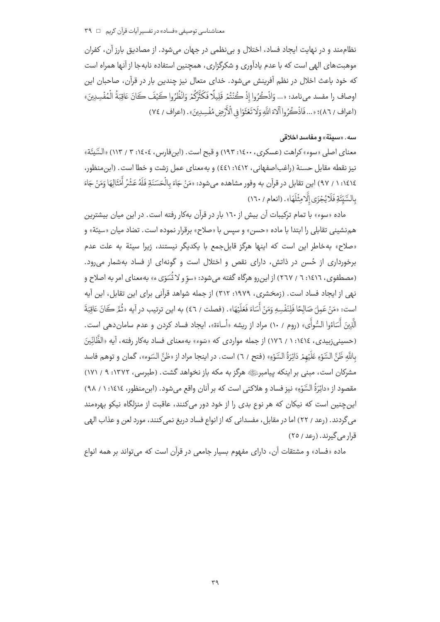نظام مند و در نهایت ایجاد فساد، اختلال و بی نظمی در جهان می شود. از مصادیق بارز آن، کفران .<br>موهبت های الهی است که با عدم یادآوری و شکرگزاری، همچنین استفاده نابه جا از آنها همراه اس*ت* .<br>که خود باعث اخلال در نظم آفرینش می شود. خدای متعال نیز چندین بار در قرآن، صاحبان این اوصاف را مفسد ميiامد: «... وَاذْكُرُوا إِذْ كُنْتُمْ قَلِيلًا فَكَثّْرَكُمْ وَانْظُرُوا كَيْفَ كَانَ عَاقِبَةُ الْمُفْسِدِينَ» (اعراف / ٨٦)؛ «... فَاذْكُرُوا أَلَاءَ اللَّهِ وَلَا تَعْثَوْا فِي الْأَرْضِ مُفْسِدِينَ» . (اعراف / ٧٤)

### سه. «سيئة» و مفاسد اخلاقى

معنای اصلی «سوء» کراهت (عسکری، ۱٤۰۰: ۱۹۳) و قبح است. (ابنفارس، ١٤٠٤: ٣ / ١١٣) «السَّيئَة» نيز نقطه مقابل حسنة (راغباصفهاني، ١٤١٢: ٤٤١) و بهمعناي عمل زشت و خطا است. (ابن منظور، ١٤١٤: ١ / ٩٧) اين تقابل در قرآن به وفور مشاهده مىشود: «مَنْ جَاءَ بِالْحَسَنَةِ فَلَهُ عَشْرُ أَمْثَالِهَا وَمَنْ جَاءَ بِالسَّيِّئَةِ فَلَا يُجْزَى إِلَّا مِثْلَهَا». (انعام / ١٦٠)

ماده «سوء» با تمام تركيبات آن بيش از ١٦٠ بار در قرآن بهكار رفته است. در اين ميان بيشترين هم نشيني تقابلي را ابتدا با ماده «حسن» و سيس با «صلاح» برقرار نموده است. تضاد ميان «سيئة» و «صلاح» بهخاطر این است که اینها هرگز قابل جمع با یکدیگر نیستند، زیرا سیئة به علت عدم برخورداری از حُسن در ذاتش، دارای نقص و اختلال است و گونهای از فساد بهشمار میرود. (مصطفوي، ١٤١٦: ٦ / ٢٦٧) از اينرو هرگاه گفته ميشود: «سوّ و لا تُسَوِّي ء» بهمعناي امر به اصلاح و نهی از ایجاد فساد است. (زمخشری، ۱۹۷۹: ۳۱۲) از جمله شواهد قرآنی برای این تقابل، این آیه است: «مَنْ عَمِلَ صَالِحًا فَلِنَفْسِهِ وَمَنْ أَسَاءَ فَعَلَيْهَا». (فصلت / ٤٦) به اين ترتيب در آيه «ثُمَّ كَانَ عَاقِبَةَ الَّذِينَ أَسَاءُوا السُّوأَى» (روم / ١٠) مراد از ريشه «أساءَة»، ايجاد فساد كردن و عدم ساماندهى است. (حسینی;بیدی، ١٤١٤: ١ / ١٧٦) از جمله مواردی که «سَوء» بهمعنای فساد بهکار رفته، آیه «الظَّانِّینَ بِاللَّهِ ظَنَّ السَّوْءِ عَلَيْهِمْ دَائِرَةُ السَّوْءِ» (فتح / ٦) است. در اينجا مراد از «ظنَّ السَوء»، گمان و توهم فاسد مشرکان است، مبنی بر اینکه پیامبرﷺ هرگز به مکه باز نخواهد گشت. (طبرسی، ۱۳۷۲: ۹ / ۱۷۱) مقصود از «دائِرَةُ السَّوْءِ» نيز فساد و هلاكتي است كه بر آنان واقع مي شود. (ابن منظور، ١٤١٤: ١ / ٩٨) این چنین است که نیکان که هر نوع بدی را از خود دور می *ک*نند، عاقبت از منزلگاه نیکو بهرهمند می گردند. (رعد / ۲۲) اما در مقابل، مفسدانی که از انواع فساد دریغ نمی کنند، مورد لعن و عذاب الهی قرار می گیرند. (رعد / ۲٥)

ماده «فساد» و مشتقات آن، دارای مفهوم بسیار جامعی در قرآن است که میتواند بر همه انواع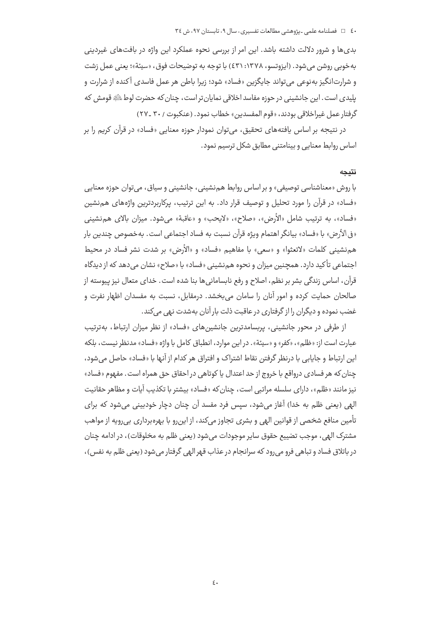بدی ها و شرور دلالت داشته باشد. این امر از بررسی نحوه عملکرد این واژه در بافت های غیردینی به خوبي روشن مي شود. (ايزوتسو، ١٣٧٨: ٤٣١) با توجه به توضيحات فوق، «سيئة»؛ يعني عمل زشت و شرارتانگیز بهنوعی میتواند جایگزین «فساد» شود؛ زیرا باطن هر عمل فاسدی آکنده از شرارت و يليدي است . اين جانشيني در حوزه مفاسد اخلاقي نمايان تر است ، چنان كه حضرت لوط ﷺ قومش كه گرفتار عمل غيراخلاقي بودند، «قوم المفسدين» خطاب نمود. (عنكبوت / ٣٠ \_٢٧)

در نتیجه بر اساس یافتههای تحقیق، میتوان نمودار حوزه معنایی «فساد» در قرآن کریم را بر اساس روابط معنایی و بینامتنی مطابق شکل ترسیم نمود.

### نتيجه

با روش «معناشناسی توصیفی» و بر اساس روابط هم نشینی، جانشینی و سیاق، می توان حوزه معنایی «فساد» در قرآن را مورد تحلیل و توصیف قرار داد. به این ترتیب، پرکاربردترین واژههای همنشین «فساد»، به ترتيب شامل «الأرض»، «صلاح»، «لايحب» و «عاقبة» مي شود. ميزان بالاي هم نشيني «في الأرض» با «فساد» بيانگر اهتمام ويژه قرآن نسبت به فساد اجتماعي است. بهخصوص چندين بار هم نشيني كلمات «لاتعثوا» و «سعي» با مفاهيم «فساد» و «الأرض» بر شدت نشر فساد در محيط اجتماعی تأکید دارد. همچنین میزان و نحوه هم;نشینی «فساد» با «صلاح» نشان میٍ دهد که از دیدگاه قرآن، اساس زندگی بشر بر نظم، اصلاح و رفع نابسامانی ها بنا شده است. خدای متعال نیز پیوسته از صالحان حمایت کرده و امور آنان را سامان می بخشد. درمقابل، نسبت به مفسدان اظهار نفرت و غضب نموده و دیگران را از گرفتاری در عاقبت ذلت بار آنان بهشدت نهی می کند.

از طرفی در محور جانشینی، پربسامدترین جانشینهای «فساد» از نظر میزان ارتباط، بهترتیب عبارت است از: «ظلم»، «كفر» و «سيئة». در اين موارد، انطباق كامل با واژه «فساد» مدنظر نيست، بلكه این ارتباط و جایابی با درنظر گرفتن نقاط اشتراک و افتراق هر کدام از آنها با «فساد» حاصل می شود، چنان که هر فسادی درواقع با خروج از حد اعتدال یا کوتاهی در احقاق حق همراه است. مفهوم «فساد» نيز مانند «ظلم»، داراي سلسله مراتبي است، چنان كه «فساد» بيشتر با تكذيب آيات و مظاهر حقانيت الهي (يعني ظلم به خدا) آغاز مي شود، سيس فرد مفسد آن چنان دچار خودبيني مي شود كه براي تأمین منافع شخصی از قوانین الهی و بشری تجاوز میکند، از این رو با بهرهبرداری بی رویه از مواهب مشترک الهي، موجب تضييع حقوق ساير موجودات مي شود (يعني ظلم به مخلوقات)، در ادامه چنان در باتلاق فساد و تباهی فرو می رود که سرانجام در عذاب قهر الهی گرفتار می شود (یعنی ظلم به نفس)،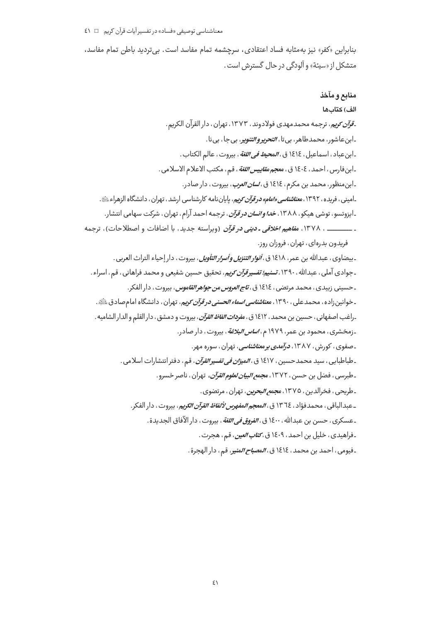بنابراین «کفر» نیز به مثابه فساد اعتقادی، سرچشمه تمام مفاسد است. بیتردید باطن تمام مفاسد، متشکل از «سیئة» و آلودگی در حال گسترش است .

منابع و مآخذ الف) كتابها *ـقرآن کری*م، ترجمه محمدمهدی فولادوند، ۱۳۷۳، تهران، دار القرآن الکریم. ۔ابن عاشور، محمدطاهر، بي تا، *التحرير و التنوي*ر، بي جا، بي نا. ـابن عباد ، اسماعيل ، ١٤١٤ ق ، *المحيط في اللغة* ، بيروت ، عالم الكتاب . ـابنفارس، احمد، ١٤٠٤ ق، مع*جم مقاييس اللغة* ، قم ، مكتب الاعلام الاسلامي . ۔ابنمنظور، محمد بن مکرم، ١٤١٤ ق، *لسان العرب*، بیروت، دار صادر. ـامینی ، فریده ، ۱۳۹۲، م*عناشناسی «امام» در قرآن کری*م، پایاننامه کارشناسی ارشد ، تهران ، دانشگاه الزهراء ﷺ . ـایزوتسو، توشی هیکو، ۱۳۸۸، *خدا وانسان در قرآن*، ترجمه احمد آرام، تهران، شرکت سهامی انتشار. ـ ـــــــــــــ ، ١٣٧٨، م*فاهيم اخلاقي ـ ديني در قرآن* (ويراسته جديد، با اضافات و اصطلاحات)، ترجمه فریدون بدرهای، تهران، فروزان روز. ـ بيضاوي، عبدالله بن عمر، ١٤١٨ ق، *أنوار التنزيل وأسرار التأويل*، بيروت، دار إحياء التراث العربي . ـ جوادي آملي ، عبدالله ، ١٣٩٠، *تسنيم؛ تفسير قرآن کري*م، تحقيق حسين شفيعي و محمد فراهاني ، قم ، اسراء . ـ حسيني زبيدي ، محمد مرتضي ، ١٤١٤ ق ، *تاج العروس من جواهر القاموس* ، بيروت ، دار الفكر . ـ خوانین زاده ، محمدعلی ، ۱۳۹۰، م*عناشناسی اسماء الحسنی در قرآن کری*م، تهران ، دانشگاه امام صادق ﷺ. ـراغب اصفهاني ، حسين بن محمد ، ١٤١٢ ق ، م*فردات الفاظ القرآن* ، بيروت و دمشق ، دار القلم و الدار الشاميه . ـ زمخشری ، محمود بن عمر ، ۱۹۷۹ م ، *اساس البلاغة* ، بیروت ، دار صادر . ۔صفوی، کورش، ۱۳۸۷، *درآمد<u>ی</u> بر*م*عناشناسی*، تهران، سورہ مهر. ـ طباطبايي ، سيد محمدحسين ، ١٤١٧ ق ، *الميزان في تفسير القرآن* ، قم ، دفتر انتشارات اسلامي . ـ طبرسي ، فضل بن حسن ، ١٣٧٢ ، م*جمع البيان لعلوم القرآن*، تهران ، ناصر خسرو . ـ طريحي ، فخرالدين ، ١٣٧٥، م*جمع البحرين*، تهران ، مرتضوي . ـ عبدالباقي ، محمدفؤاد ، ١٣٦٤ ق ، *المعجم المفهرس لألفاظ القرآن الكري*م ، بيروت ، دار الفكر . ـعسكري، حسن بن عبدالله، ١٤٠٠ ق، *الفروق في اللغة*، بيروت، دار الآفاق الجديدة. ـ فراهي*د*ي، خليل بن احمد، ١٤٠٩ ق، *كتاب العين*، قم، هجرت. ـ فيومي ، احمد بن محمد ، ١٤١٤ ق ، *المصباح المني*ر ، قم ، دار الهجرة .